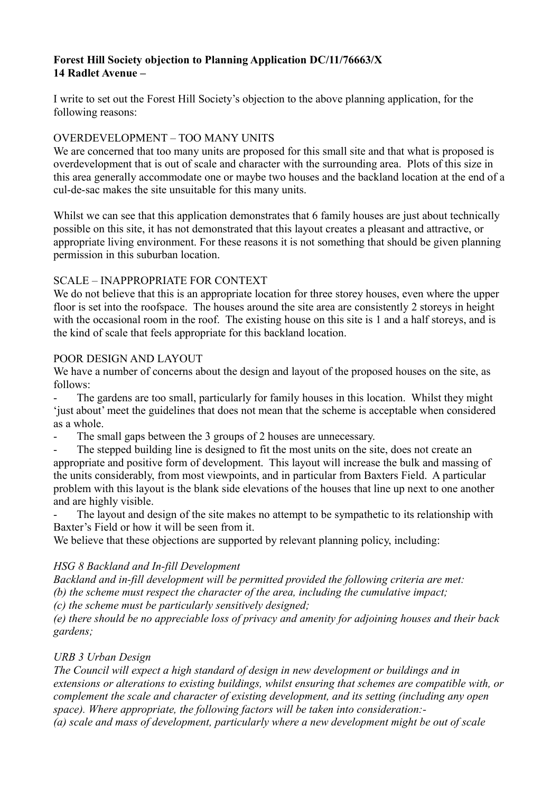# **Forest Hill Society objection to Planning Application DC/11/76663/X 14 Radlet Avenue –**

I write to set out the Forest Hill Society's objection to the above planning application, for the following reasons:

## OVERDEVELOPMENT – TOO MANY UNITS

We are concerned that too many units are proposed for this small site and that what is proposed is overdevelopment that is out of scale and character with the surrounding area. Plots of this size in this area generally accommodate one or maybe two houses and the backland location at the end of a cul-de-sac makes the site unsuitable for this many units.

Whilst we can see that this application demonstrates that 6 family houses are just about technically possible on this site, it has not demonstrated that this layout creates a pleasant and attractive, or appropriate living environment. For these reasons it is not something that should be given planning permission in this suburban location.

## SCALE – INAPPROPRIATE FOR CONTEXT

We do not believe that this is an appropriate location for three storey houses, even where the upper floor is set into the roofspace. The houses around the site area are consistently 2 storeys in height with the occasional room in the roof. The existing house on this site is 1 and a half storeys, and is the kind of scale that feels appropriate for this backland location.

## POOR DESIGN AND LAYOUT

We have a number of concerns about the design and layout of the proposed houses on the site, as follows:

- The gardens are too small, particularly for family houses in this location. Whilst they might 'just about' meet the guidelines that does not mean that the scheme is acceptable when considered as a whole.

The small gaps between the 3 groups of 2 houses are unnecessary.

The stepped building line is designed to fit the most units on the site, does not create an appropriate and positive form of development. This layout will increase the bulk and massing of the units considerably, from most viewpoints, and in particular from Baxters Field. A particular problem with this layout is the blank side elevations of the houses that line up next to one another and are highly visible.

The layout and design of the site makes no attempt to be sympathetic to its relationship with Baxter's Field or how it will be seen from it.

We believe that these objections are supported by relevant planning policy, including:

## *HSG 8 Backland and In-fill Development*

*Backland and in-fill development will be permitted provided the following criteria are met: (b) the scheme must respect the character of the area, including the cumulative impact;*

*(c) the scheme must be particularly sensitively designed;*

*(e) there should be no appreciable loss of privacy and amenity for adjoining houses and their back gardens;*

## *URB 3 Urban Design*

*The Council will expect a high standard of design in new development or buildings and in extensions or alterations to existing buildings, whilst ensuring that schemes are compatible with, or complement the scale and character of existing development, and its setting (including any open space). Where appropriate, the following factors will be taken into consideration:- (a) scale and mass of development, particularly where a new development might be out of scale*